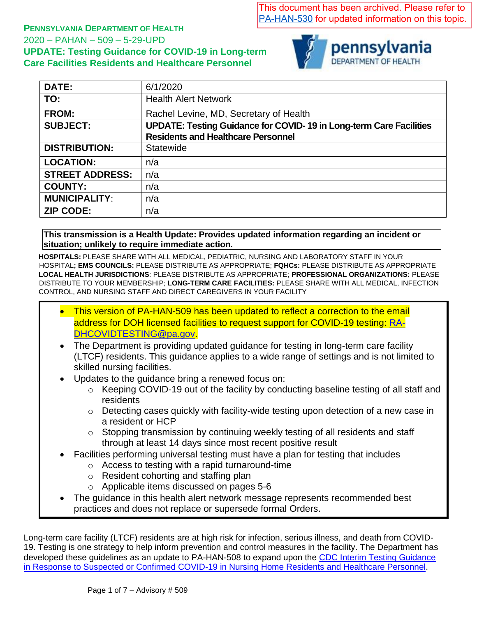This document has been archived. Please refer to [PA-HAN-530](https://www.health.pa.gov/topics/Documents/HAN/2020-PAHAN-530-10-7-ADV-TESTING%20UPDA.pdf) for updated information on this topic.

### **PENNSYLVANIA DEPARTMENT OF HEALTH**  2020 – PAHAN – 509 – 5-29-UPD **UPDATE: Testing Guidance for COVID-19 in Long-term Care Facilities Residents and Healthcare Personnel**



| <b>DATE:</b>           | 6/1/2020                                                                  |
|------------------------|---------------------------------------------------------------------------|
| TO:                    | <b>Health Alert Network</b>                                               |
| <b>FROM:</b>           | Rachel Levine, MD, Secretary of Health                                    |
| <b>SUBJECT:</b>        | <b>UPDATE: Testing Guidance for COVID-19 in Long-term Care Facilities</b> |
|                        | <b>Residents and Healthcare Personnel</b>                                 |
| <b>DISTRIBUTION:</b>   | Statewide                                                                 |
| <b>LOCATION:</b>       | n/a                                                                       |
| <b>STREET ADDRESS:</b> | n/a                                                                       |
| <b>COUNTY:</b>         | n/a                                                                       |
| <b>MUNICIPALITY:</b>   | n/a                                                                       |
| <b>ZIP CODE:</b>       | n/a                                                                       |
|                        |                                                                           |

**This transmission is a Health Update: Provides updated information regarding an incident or situation; unlikely to require immediate action.**

**HOSPITALS:** PLEASE SHARE WITH ALL MEDICAL, PEDIATRIC, NURSING AND LABORATORY STAFF IN YOUR HOSPITAL**; EMS COUNCILS:** PLEASE DISTRIBUTE AS APPROPRIATE; **FQHCs:** PLEASE DISTRIBUTE AS APPROPRIATE **LOCAL HEALTH JURISDICTIONS**: PLEASE DISTRIBUTE AS APPROPRIATE; **PROFESSIONAL ORGANIZATIONS:** PLEASE DISTRIBUTE TO YOUR MEMBERSHIP; **LONG-TERM CARE FACILITIES:** PLEASE SHARE WITH ALL MEDICAL, INFECTION CONTROL, AND NURSING STAFF AND DIRECT CAREGIVERS IN YOUR FACILITY

- This version of PA-HAN-509 has been updated to reflect a correction to the email address for DOH licensed facilities to request support for COVID-19 testing: [RA-](mailto:RA-DHCOVIDTESTING@pa.gov)[DHCOVIDTESTING@pa.gov.](mailto:RA-DHCOVIDTESTING@pa.gov)
- The Department is providing updated guidance for testing in long-term care facility (LTCF) residents. This guidance applies to a wide range of settings and is not limited to skilled nursing facilities.
- Updates to the quidance bring a renewed focus on:
	- o Keeping COVID-19 out of the facility by conducting baseline testing of all staff and residents
	- o Detecting cases quickly with facility-wide testing upon detection of a new case in a resident or HCP
	- o Stopping transmission by continuing weekly testing of all residents and staff through at least 14 days since most recent positive result
- Facilities performing universal testing must have a plan for testing that includes
	- o Access to testing with a rapid turnaround-time
	- o Resident cohorting and staffing plan
	- o Applicable items discussed on pages 5-6
- The quidance in this health alert network message represents recommended best practices and does not replace or supersede formal Orders.

Long-term care facility (LTCF) residents are at high risk for infection, serious illness, and death from COVID-19. Testing is one strategy to help inform prevention and control measures in the facility. The Department has developed these guidelines as an update to PA-HAN-508 to expand upon the CDC Interim Testing Guidance [in Response to Suspected or Confirmed COVID-19 in Nursing Home Residents and Healthcare Personnel.](https://www.cdc.gov/coronavirus/2019-ncov/hcp/nursing-homes-testing.html)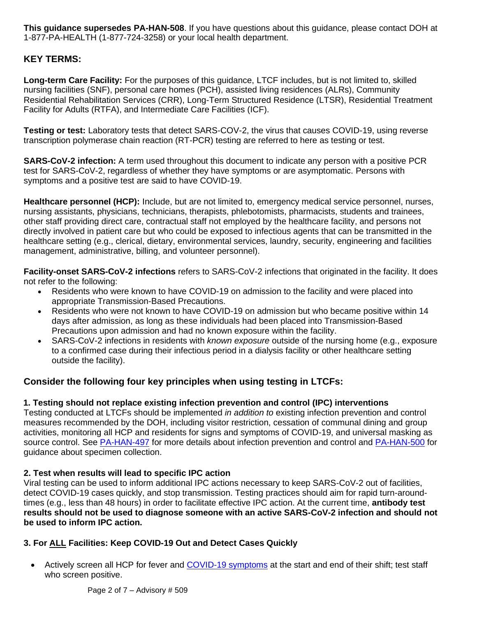**This guidance supersedes PA-HAN-508**. If you have questions about this guidance, please contact DOH at 1-877-PA-HEALTH (1-877-724-3258) or your local health department.

### **KEY TERMS:**

**Long-term Care Facility:** For the purposes of this guidance, LTCF includes, but is not limited to, skilled nursing facilities (SNF), personal care homes (PCH), assisted living residences (ALRs), Community Residential Rehabilitation Services (CRR), Long-Term Structured Residence (LTSR), Residential Treatment Facility for Adults (RTFA), and Intermediate Care Facilities (ICF).

**Testing or test:** Laboratory tests that detect SARS-COV-2, the virus that causes COVID-19, using reverse transcription polymerase chain reaction (RT-PCR) testing are referred to here as testing or test.

**SARS-CoV-2 infection:** A term used throughout this document to indicate any person with a positive PCR test for SARS-CoV-2, regardless of whether they have symptoms or are asymptomatic. Persons with symptoms and a positive test are said to have COVID-19.

**Healthcare personnel (HCP):** Include, but are not limited to, emergency medical service personnel, nurses, nursing assistants, physicians, technicians, therapists, phlebotomists, pharmacists, students and trainees, other staff providing direct care, contractual staff not employed by the healthcare facility, and persons not directly involved in patient care but who could be exposed to infectious agents that can be transmitted in the healthcare setting (e.g., clerical, dietary, environmental services, laundry, security, engineering and facilities management, administrative, billing, and volunteer personnel).

**Facility-onset SARS-CoV-2 infections** refers to SARS-CoV-2 infections that originated in the facility. It does not refer to the following:

- Residents who were known to have COVID-19 on admission to the facility and were placed into appropriate Transmission-Based Precautions.
- Residents who were not known to have COVID-19 on admission but who became positive within 14 days after admission, as long as these individuals had been placed into Transmission-Based Precautions upon admission and had no known exposure within the facility.
- SARS-CoV-2 infections in residents with *known exposure* outside of the nursing home (e.g., exposure to a confirmed case during their infectious period in a dialysis facility or other healthcare setting outside the facility).

## **Consider the following four key principles when using testing in LTCFs:**

### **1. Testing should not replace existing infection prevention and control (IPC) interventions**

Testing conducted at LTCFs should be implemented *in addition to* existing infection prevention and control measures recommended by the DOH, including visitor restriction, cessation of communal dining and group activities, monitoring all HCP and residents for signs and symptoms of COVID-19, and universal masking as source control. See [PA-HAN-497](https://www.health.pa.gov/topics/Documents/HAN/2020-PAHAN-497-04-16-UPD-UPDATE_Univ.pdf) for more details about infection prevention and control and [PA-HAN-500](https://www.health.pa.gov/topics/Documents/HAN/2020-PAHAN-500-04-30-UPD-UPDATE-Spec.pdf) for guidance about specimen collection.

### **2. Test when results will lead to specific IPC action**

Viral testing can be used to inform additional IPC actions necessary to keep SARS-CoV-2 out of facilities, detect COVID-19 cases quickly, and stop transmission. Testing practices should aim for rapid turn-aroundtimes (e.g., less than 48 hours) in order to facilitate effective IPC action. At the current time, **antibody test results should not be used to diagnose someone with an active SARS-CoV-2 infection and should not be used to inform IPC action.**

### **3. For ALL Facilities: Keep COVID-19 Out and Detect Cases Quickly**

• Actively screen all HCP for fever and [COVID-19 symptoms](https://www.cdc.gov/coronavirus/2019-ncov/symptoms-testing/symptoms.html) at the start and end of their shift; test staff who screen positive.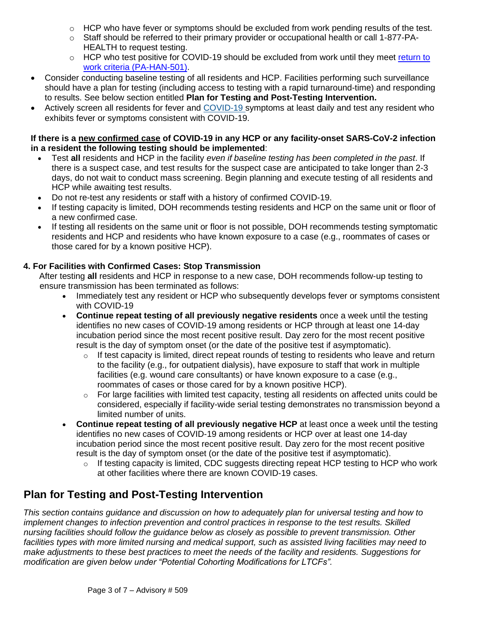- $\circ$  HCP who have fever or symptoms should be excluded from work pending results of the test.
- $\circ$  Staff should be referred to their primary provider or occupational health or call 1-877-PA-HEALTH to request testing.
- $\circ$  HCP who test positive for COVID-19 should be excluded from work until they meet return to work criteria [\(PA-HAN-501\).](https://www.health.pa.gov/topics/Documents/HAN/2020-PAHAN-501-05-01-UPD-Return%20to%20W.pdf)
- Consider conducting baseline testing of all residents and HCP. Facilities performing such surveillance should have a plan for testing (including access to testing with a rapid turnaround-time) and responding to results. See below section entitled **Plan for Testing and Post-Testing Intervention.**
- Actively screen all residents for fever and [COVID-19](https://www.cdc.gov/coronavirus/2019-ncov/symptoms-testing/symptoms.html) symptoms at least daily and test any resident who exhibits fever or symptoms consistent with COVID-19.

### **If there is a new confirmed case of COVID-19 in any HCP or any facility-onset SARS-CoV-2 infection in a resident the following testing should be implemented**:

- Test **all** residents and HCP in the facility *even if baseline testing has been completed in the past*. If there is a suspect case, and test results for the suspect case are anticipated to take longer than 2-3 days, do not wait to conduct mass screening. Begin planning and execute testing of all residents and HCP while awaiting test results.
- Do not re-test any residents or staff with a history of confirmed COVID-19.
- If testing capacity is limited, DOH recommends testing residents and HCP on the same unit or floor of a new confirmed case.
- If testing all residents on the same unit or floor is not possible, DOH recommends testing symptomatic residents and HCP and residents who have known exposure to a case (e.g., roommates of cases or those cared for by a known positive HCP).

### **4. For Facilities with Confirmed Cases: Stop Transmission**

After testing **all** residents and HCP in response to a new case, DOH recommends follow-up testing to ensure transmission has been terminated as follows:

- Immediately test any resident or HCP who subsequently develops fever or symptoms consistent with COVID-19
- **Continue repeat testing of all previously negative residents** once a week until the testing identifies no new cases of COVID-19 among residents or HCP through at least one 14-day incubation period since the most recent positive result. Day zero for the most recent positive result is the day of symptom onset (or the date of the positive test if asymptomatic).
	- $\circ$  If test capacity is limited, direct repeat rounds of testing to residents who leave and return to the facility (e.g., for outpatient dialysis), have exposure to staff that work in multiple facilities (e.g. wound care consultants) or have known exposure to a case (e.g., roommates of cases or those cared for by a known positive HCP).
	- o For large facilities with limited test capacity, testing all residents on affected units could be considered, especially if facility-wide serial testing demonstrates no transmission beyond a limited number of units.
- **Continue repeat testing of all previously negative HCP** at least once a week until the testing identifies no new cases of COVID-19 among residents or HCP over at least one 14-day incubation period since the most recent positive result. Day zero for the most recent positive result is the day of symptom onset (or the date of the positive test if asymptomatic).
	- $\circ$  If testing capacity is limited, CDC suggests directing repeat HCP testing to HCP who work at other facilities where there are known COVID-19 cases.

# **Plan for Testing and Post-Testing Intervention**

*This section contains guidance and discussion on how to adequately plan for universal testing and how to implement changes to infection prevention and control practices in response to the test results. Skilled nursing facilities should follow the guidance below as closely as possible to prevent transmission. Other*  facilities types with more limited nursing and medical support, such as assisted living facilities may need to *make adjustments to these best practices to meet the needs of the facility and residents. Suggestions for modification are given below under "Potential Cohorting Modifications for LTCFs".*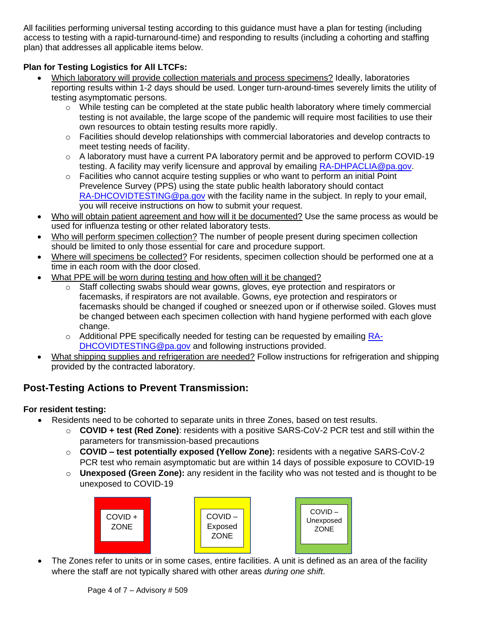All facilities performing universal testing according to this guidance must have a plan for testing (including access to testing with a rapid-turnaround-time) and responding to results (including a cohorting and staffing plan) that addresses all applicable items below.

### **Plan for Testing Logistics for All LTCFs:**

- Which laboratory will provide collection materials and process specimens? Ideally, laboratories reporting results within 1-2 days should be used. Longer turn-around-times severely limits the utility of testing asymptomatic persons.
	- o While testing can be completed at the state public health laboratory where timely commercial testing is not available, the large scope of the pandemic will require most facilities to use their own resources to obtain testing results more rapidly.
	- o Facilities should develop relationships with commercial laboratories and develop contracts to meet testing needs of facility.
	- $\circ$  A laboratory must have a current PA laboratory permit and be approved to perform COVID-19 testing. A facility may verify licensure and approval by emailing [RA-DHPACLIA@pa.gov.](mailto:RA-DHPACLIA@pa.gov)
	- o Facilities who cannot acquire testing supplies or who want to perform an initial Point Prevelence Survey (PPS) using the state public health laboratory should contact [RA-DHCOVIDTESTING@pa.gov](mailto:RA-DHCOVIDTESTING@pa.gov) with the facility name in the subject. In reply to your email, you will receive instructions on how to submit your request.
- Who will obtain patient agreement and how will it be documented? Use the same process as would be used for influenza testing or other related laboratory tests.
- Who will perform specimen collection? The number of people present during specimen collection should be limited to only those essential for care and procedure support.
- Where will specimens be collected? For residents, specimen collection should be performed one at a time in each room with the door closed.
- What PPE will be worn during testing and how often will it be changed?
	- Staff collecting swabs should wear gowns, gloves, eye protection and respirators or facemasks, if respirators are not available. Gowns, eye protection and respirators or facemasks should be changed if coughed or sneezed upon or if otherwise soiled. Gloves must be changed between each specimen collection with hand hygiene performed with each glove change.
	- $\circ$  Additional PPE specifically needed for testing can be requested by emailing [RA-](mailto:RA-DHCOVIDTESTING@pa.gov)[DHCOVIDTESTING@pa.gov](mailto:RA-DHCOVIDTESTING@pa.gov) and following instructions provided.
- What shipping supplies and refrigeration are needed? Follow instructions for refrigeration and shipping provided by the contracted laboratory.

# **Post-Testing Actions to Prevent Transmission:**

### **For resident testing:**

- Residents need to be cohorted to separate units in three Zones, based on test results.
	- o **COVID + test (Red Zone)**: residents with a positive SARS-CoV-2 PCR test and still within the parameters for transmission-based precautions
	- o **COVID – test potentially exposed (Yellow Zone):** residents with a negative SARS-CoV-2 PCR test who remain asymptomatic but are within 14 days of possible exposure to COVID-19
	- o **Unexposed (Green Zone):** any resident in the facility who was not tested and is thought to be unexposed to COVID-19



The Zones refer to units or in some cases, entire facilities. A unit is defined as an area of the facility where the staff are not typically shared with other areas *during one shift*.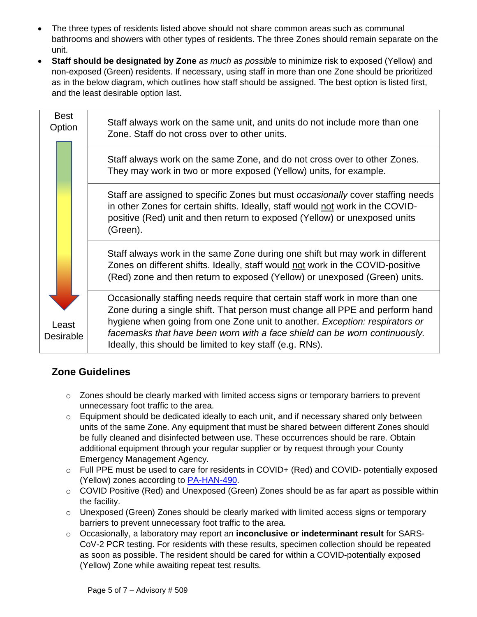- The three types of residents listed above should not share common areas such as communal bathrooms and showers with other types of residents. The three Zones should remain separate on the unit.
- **Staff should be designated by Zone** *as much as possible* to minimize risk to exposed (Yellow) and non-exposed (Green) residents. If necessary, using staff in more than one Zone should be prioritized as in the below diagram, which outlines how staff should be assigned. The best option is listed first, and the least desirable option last.

| <b>Best</b><br>Option | Staff always work on the same unit, and units do not include more than one<br>Zone. Staff do not cross over to other units.                                                                                                                                                                                                                                                           |
|-----------------------|---------------------------------------------------------------------------------------------------------------------------------------------------------------------------------------------------------------------------------------------------------------------------------------------------------------------------------------------------------------------------------------|
|                       | Staff always work on the same Zone, and do not cross over to other Zones.<br>They may work in two or more exposed (Yellow) units, for example.                                                                                                                                                                                                                                        |
|                       | Staff are assigned to specific Zones but must <i>occasionally</i> cover staffing needs<br>in other Zones for certain shifts. Ideally, staff would not work in the COVID-<br>positive (Red) unit and then return to exposed (Yellow) or unexposed units<br>(Green).                                                                                                                    |
|                       | Staff always work in the same Zone during one shift but may work in different<br>Zones on different shifts. Ideally, staff would not work in the COVID-positive<br>(Red) zone and then return to exposed (Yellow) or unexposed (Green) units.                                                                                                                                         |
| Least<br>Desirable    | Occasionally staffing needs require that certain staff work in more than one<br>Zone during a single shift. That person must change all PPE and perform hand<br>hygiene when going from one Zone unit to another. Exception: respirators or<br>facemasks that have been worn with a face shield can be worn continuously.<br>Ideally, this should be limited to key staff (e.g. RNs). |

# **Zone Guidelines**

- $\circ$  Zones should be clearly marked with limited access signs or temporary barriers to prevent unnecessary foot traffic to the area.
- $\circ$  Equipment should be dedicated ideally to each unit, and if necessary shared only between units of the same Zone. Any equipment that must be shared between different Zones should be fully cleaned and disinfected between use. These occurrences should be rare. Obtain additional equipment through your regular supplier or by request through your County Emergency Management Agency.
- o Full PPE must be used to care for residents in COVID+ (Red) and COVID- potentially exposed (Yellow) zones according to [PA-HAN-490.](https://www.health.pa.gov/topics/Documents/HAN/2020-PAHAN-UPDATE-Infection%20Control_.pdf)
- $\circ$  COVID Positive (Red) and Unexposed (Green) Zones should be as far apart as possible within the facility.
- $\circ$  Unexposed (Green) Zones should be clearly marked with limited access signs or temporary barriers to prevent unnecessary foot traffic to the area.
- o Occasionally, a laboratory may report an **inconclusive or indeterminant result** for SARS-CoV-2 PCR testing. For residents with these results, specimen collection should be repeated as soon as possible. The resident should be cared for within a COVID-potentially exposed (Yellow) Zone while awaiting repeat test results.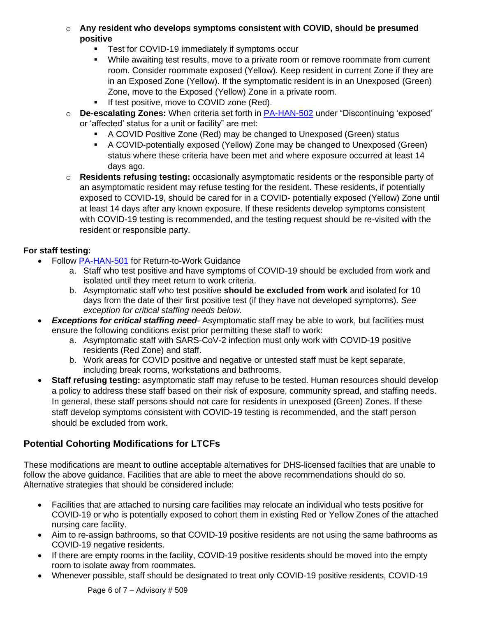- o **Any resident who develops symptoms consistent with COVID, should be presumed positive** 
	- **•** Test for COVID-19 immediately if symptoms occur
	- While awaiting test results, move to a private room or remove roommate from current room. Consider roommate exposed (Yellow). Keep resident in current Zone if they are in an Exposed Zone (Yellow). If the symptomatic resident is in an Unexposed (Green) Zone, move to the Exposed (Yellow) Zone in a private room.
	- If test positive, move to COVID zone (Red).
- o **De-escalating Zones:** When criteria set forth in [PA-HAN-502](https://www.health.pa.gov/topics/Documents/HAN/2020-PAHAN-502-05-01-ADV-Discontinui.pdf) under "Discontinuing 'exposed' or 'affected' status for a unit or facility" are met:
	- A COVID Positive Zone (Red) may be changed to Unexposed (Green) status
	- A COVID-potentially exposed (Yellow) Zone may be changed to Unexposed (Green) status where these criteria have been met and where exposure occurred at least 14 days ago.
- o **Residents refusing testing:** occasionally asymptomatic residents or the responsible party of an asymptomatic resident may refuse testing for the resident. These residents, if potentially exposed to COVID-19, should be cared for in a COVID- potentially exposed (Yellow) Zone until at least 14 days after any known exposure. If these residents develop symptoms consistent with COVID-19 testing is recommended, and the testing request should be re-visited with the resident or responsible party.

### **For staff testing:**

- Follow [PA-HAN-501](https://www.health.pa.gov/topics/Documents/HAN/2020-PAHAN-501-05-01-UPD-Return%20to%20W.pdf) for Return-to-Work Guidance
	- a. Staff who test positive and have symptoms of COVID-19 should be excluded from work and isolated until they meet return to work criteria.
	- b. Asymptomatic staff who test positive **should be excluded from work** and isolated for 10 days from the date of their first positive test (if they have not developed symptoms). *See exception for critical staffing needs below.*
- *Exceptions for critical staffing need-* Asymptomatic staff may be able to work, but facilities must ensure the following conditions exist prior permitting these staff to work:
	- a. Asymptomatic staff with SARS-CoV-2 infection must only work with COVID-19 positive residents (Red Zone) and staff.
	- b. Work areas for COVID positive and negative or untested staff must be kept separate, including break rooms, workstations and bathrooms.
- **Staff refusing testing:** asymptomatic staff may refuse to be tested. Human resources should develop a policy to address these staff based on their risk of exposure, community spread, and staffing needs. In general, these staff persons should not care for residents in unexposed (Green) Zones. If these staff develop symptoms consistent with COVID-19 testing is recommended, and the staff person should be excluded from work.

## **Potential Cohorting Modifications for LTCFs**

These modifications are meant to outline acceptable alternatives for DHS-licensed facilties that are unable to follow the above guidance. Facilities that are able to meet the above recommendations should do so. Alternative strategies that should be considered include:

- Facilities that are attached to nursing care facilities may relocate an individual who tests positive for COVID-19 or who is potentially exposed to cohort them in existing Red or Yellow Zones of the attached nursing care facility.
- Aim to re-assign bathrooms, so that COVID-19 positive residents are not using the same bathrooms as COVID-19 negative residents.
- If there are empty rooms in the facility, COVID-19 positive residents should be moved into the empty room to isolate away from roommates.
- Whenever possible, staff should be designated to treat only COVID-19 positive residents, COVID-19